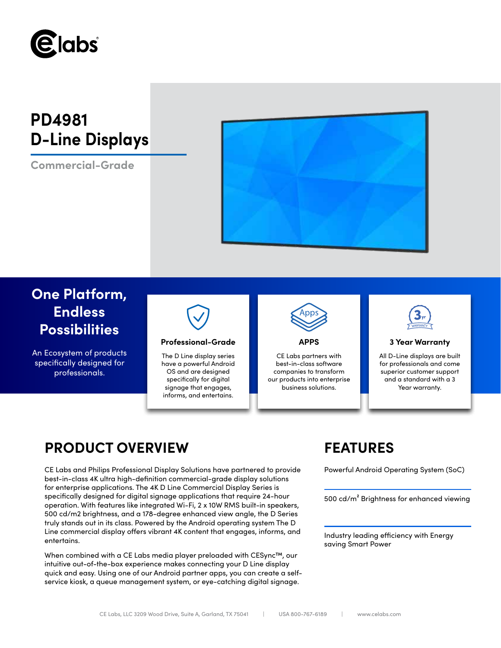

# **PD4981 D-Line Displays**

**Commercial-Grade**



## **One Platform, Endless Possibilities**

An Ecosystem of products specifically designed for professionals.



### **Professional-Grade APPS 3 Year Warranty**

The D Line display series have a powerful Android OS and are designed specifically for digital signage that engages, informs, and entertains.



CE Labs partners with best-in-class software companies to transform our products into enterprise business solutions.



All D-Line displays are built for professionals and come superior customer support and a standard with a 3 Year warranty.

## **PRODUCT OVERVIEW FEATURES**

CE Labs and Philips Professional Display Solutions have partnered to provide Powerful Android Operating System (SoC) best-in-class 4K ultra high-definition commercial-grade display solutions for enterprise applications. The 4K D Line Commercial Display Series is specifically designed for digital signage applications that require 24-hour operation. With features like integrated Wi-Fi, 2 x 10W RMS built-in speakers, 500 cd/m2 brightness, and a 178-degree enhanced view angle, the D Series truly stands out in its class. Powered by the Android operating system The D Line commercial display offers vibrant 4K content that engages, informs, and entertains.

When combined with a CE Labs media player preloaded with CESync™, our intuitive out-of-the-box experience makes connecting your D Line display quick and easy. Using one of our Android partner apps, you can create a selfservice kiosk, a queue management system, or eye-catching digital signage.

500 cd/m² Brightness for enhanced viewing

Industry leading efficiency with Energy saving Smart Power